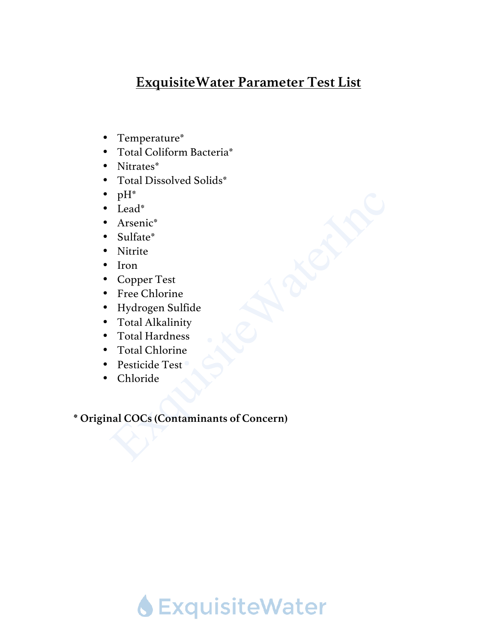# **ExquisiteWater Parameter Test List**

- Temperature\*
- Total Coliform Bacteria\*
- Nitrates\*
- Total Dissolved Solids\*
- $pH^*$
- Lead\*
- Arsenic\*
- Sulfate\*
- Nitrite
- Iron
- Copper Test
- Free Chlorine
- Hydrogen Sulfide
- Total Alkalinity
- Total Hardness
- Total Chlorine
- Pesticide Test
- Chloride

**\* Original COCs (Contaminants of Concern)**

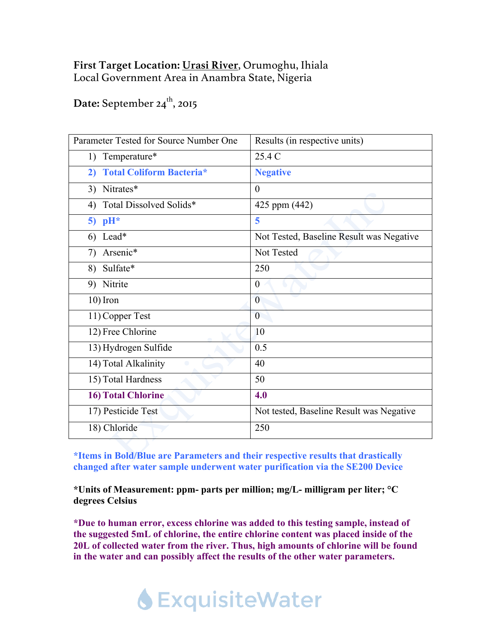### **First Target Location: Urasi River**, Orumoghu, Ihiala Local Government Area in Anambra State, Nigeria

## Date: September 24<sup>th</sup>, 2015

| Parameter Tested for Source Number One | Results (in respective units)            |
|----------------------------------------|------------------------------------------|
| 1) Temperature*                        | 25.4 C                                   |
| <b>Total Coliform Bacteria*</b><br>2)  | <b>Negative</b>                          |
| 3) Nitrates*                           | $\theta$                                 |
| Total Dissolved Solids*<br>4)          | 425 ppm (442)                            |
| 5) $pH^*$                              | 5                                        |
| 6) Lead*                               | Not Tested, Baseline Result was Negative |
| Arsenic*<br>7)                         | Not Tested                               |
| 8) Sulfate*                            | 250                                      |
| 9) Nitrite                             | $\theta$                                 |
| $10$ ) Iron                            | $\theta$                                 |
| 11) Copper Test                        | $\theta$                                 |
| 12) Free Chlorine                      | 10                                       |
| 13) Hydrogen Sulfide                   | 0.5                                      |
| 14) Total Alkalinity                   | 40                                       |
| 15) Total Hardness                     | 50                                       |
| <b>16) Total Chlorine</b>              | 4.0                                      |
| 17) Pesticide Test                     | Not tested, Baseline Result was Negative |
| 18) Chloride                           | 250                                      |

**\*Items in Bold/Blue are Parameters and their respective results that drastically changed after water sample underwent water purification via the SE200 Device**

**\*Units of Measurement: ppm- parts per million; mg/L- milligram per liter; °C degrees Celsius** 

**\*Due to human error, excess chlorine was added to this testing sample, instead of the suggested 5mL of chlorine, the entire chlorine content was placed inside of the 20L of collected water from the river. Thus, high amounts of chlorine will be found in the water and can possibly affect the results of the other water parameters.**

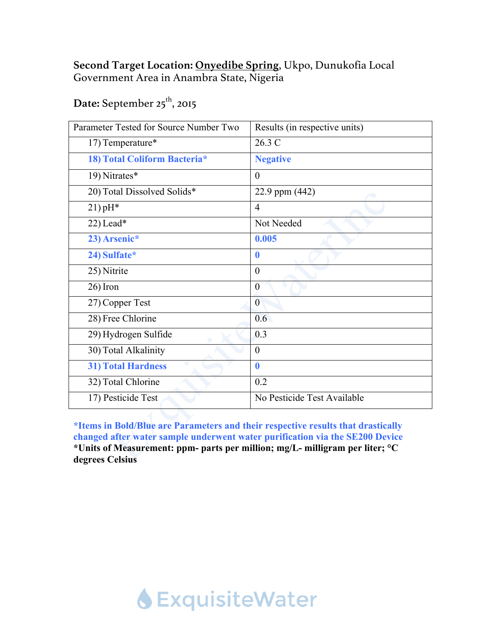#### **Second Target Location: Onyedibe Spring**, Ukpo, Dunukofia Local Government Area in Anambra State, Nigeria

### Date: September 25<sup>th</sup>, 2015

| Parameter Tested for Source Number Two | Results (in respective units) |
|----------------------------------------|-------------------------------|
| 17) Temperature*                       | 26.3 C                        |
| 18) Total Coliform Bacteria*           | <b>Negative</b>               |
| 19) Nitrates*                          | $\theta$                      |
| 20) Total Dissolved Solids*            | 22.9 ppm (442)                |
| $21$ ) pH*                             | $\overline{4}$                |
| 22) Lead*                              | Not Needed                    |
| 23) Arsenic*                           | 0.005                         |
| 24) Sulfate*                           | $\boldsymbol{0}$              |
| 25) Nitrite                            | $\theta$                      |
| $26)$ Iron                             | $\boldsymbol{0}$              |
| 27) Copper Test                        | $\overline{0}$                |
| 28) Free Chlorine                      | 0.6                           |
| 29) Hydrogen Sulfide                   | 0.3                           |
| 30) Total Alkalinity                   | $\theta$                      |
| <b>31) Total Hardness</b>              | $\bf{0}$                      |
| 32) Total Chlorine                     | 0.2                           |
| 17) Pesticide Test                     | No Pesticide Test Available   |
|                                        |                               |

**\*Items in Bold/Blue are Parameters and their respective results that drastically changed after water sample underwent water purification via the SE200 Device \*Units of Measurement: ppm- parts per million; mg/L- milligram per liter; °C degrees Celsius**